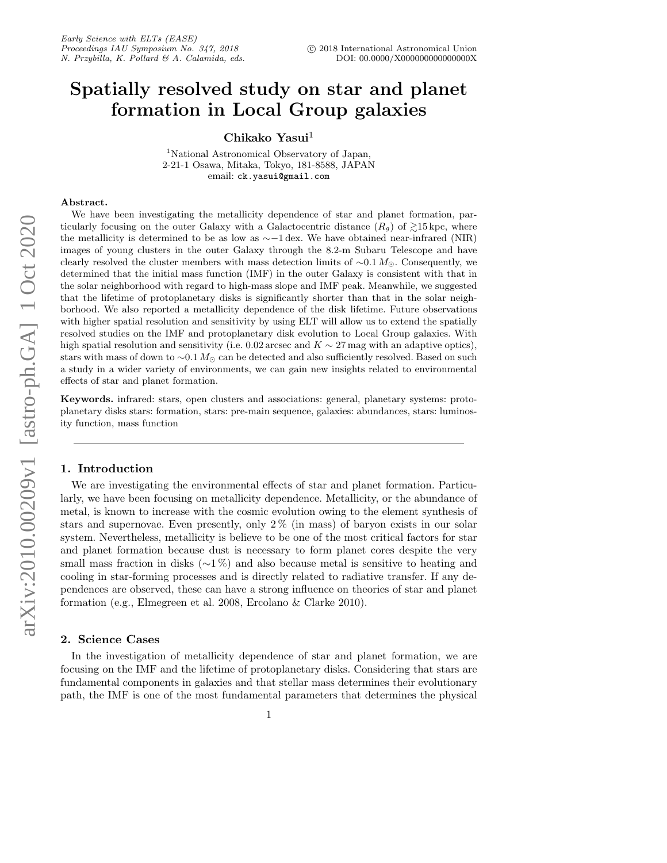# Spatially resolved study on star and planet formation in Local Group galaxies

Chikako Yasui $^1$ 

<sup>1</sup>National Astronomical Observatory of Japan, 2-21-1 Osawa, Mitaka, Tokyo, 181-8588, JAPAN email: ck.yasui@gmail.com

#### Abstract.

We have been investigating the metallicity dependence of star and planet formation, particularly focusing on the outer Galaxy with a Galactocentric distance  $(R_q)$  of  $\geq 15$  kpc, where the metallicity is determined to be as low as  $\sim$ −1 dex. We have obtained near-infrared (NIR) images of young clusters in the outer Galaxy through the 8.2-m Subaru Telescope and have clearly resolved the cluster members with mass detection limits of  $\sim 0.1 M_{\odot}$ . Consequently, we determined that the initial mass function (IMF) in the outer Galaxy is consistent with that in the solar neighborhood with regard to high-mass slope and IMF peak. Meanwhile, we suggested that the lifetime of protoplanetary disks is significantly shorter than that in the solar neighborhood. We also reported a metallicity dependence of the disk lifetime. Future observations with higher spatial resolution and sensitivity by using ELT will allow us to extend the spatially resolved studies on the IMF and protoplanetary disk evolution to Local Group galaxies. With high spatial resolution and sensitivity (i.e. 0.02 arcsec and  $K \sim 27$  mag with an adaptive optics), stars with mass of down to  $\sim 0.1 M_{\odot}$  can be detected and also sufficiently resolved. Based on such a study in a wider variety of environments, we can gain new insights related to environmental effects of star and planet formation.

Keywords. infrared: stars, open clusters and associations: general, planetary systems: protoplanetary disks stars: formation, stars: pre-main sequence, galaxies: abundances, stars: luminosity function, mass function

# 1. Introduction

We are investigating the environmental effects of star and planet formation. Particularly, we have been focusing on metallicity dependence. Metallicity, or the abundance of metal, is known to increase with the cosmic evolution owing to the element synthesis of stars and supernovae. Even presently, only 2 % (in mass) of baryon exists in our solar system. Nevertheless, metallicity is believe to be one of the most critical factors for star and planet formation because dust is necessary to form planet cores despite the very small mass fraction in disks ( $\sim$ 1%) and also because metal is sensitive to heating and cooling in star-forming processes and is directly related to radiative transfer. If any dependences are observed, these can have a strong influence on theories of star and planet formation (e.g., Elmegreen et al. 2008, Ercolano & Clarke 2010).

# 2. Science Cases

In the investigation of metallicity dependence of star and planet formation, we are focusing on the IMF and the lifetime of protoplanetary disks. Considering that stars are fundamental components in galaxies and that stellar mass determines their evolutionary path, the IMF is one of the most fundamental parameters that determines the physical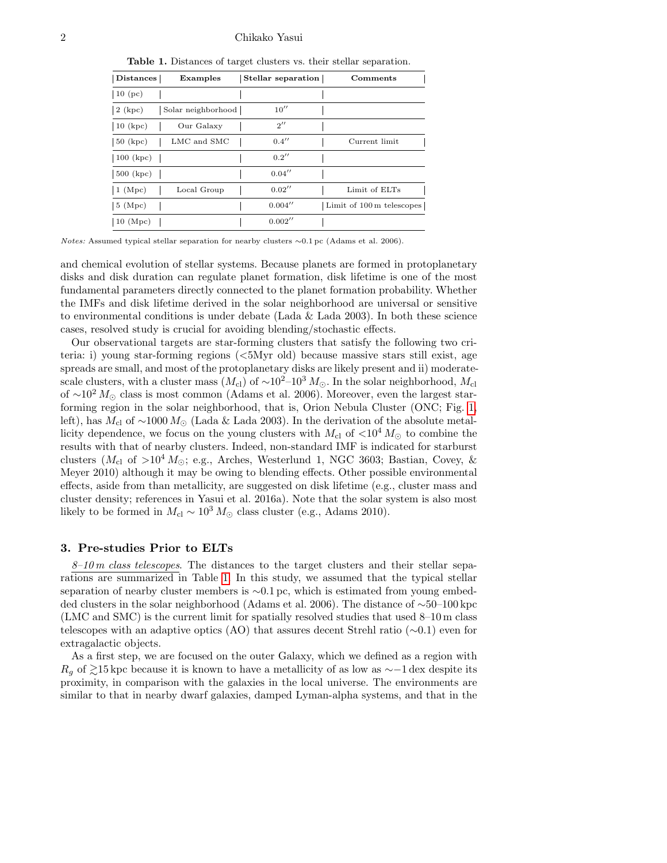#### 2 Chikako Yasui

<span id="page-1-0"></span>Table 1. Distances of target clusters vs. their stellar separation.

| Distances                 | Examples           | Stellar separation | Comments                  |
|---------------------------|--------------------|--------------------|---------------------------|
| $\vert$ 10 (pc)           |                    |                    |                           |
| $\vert 2 \rangle$ (kpc)   | Solar neighborhood | 10''               |                           |
| $10$ (kpc)                | Our Galaxy         | 2''                |                           |
| $ 50 \text{ (kpc)}$       | LMC and SMC        | 0.4''              | Current limit             |
| $100$ (kpc)               |                    | 0.2''              |                           |
| $\vert 500 \rangle$ (kpc) |                    | 0.04''             |                           |
| $\vert$ 1 (Mpc)           | Local Group        | 0.02''             | Limit of ELTs             |
| $\vert 5 \rangle$ (Mpc)   |                    | 0.004''            | Limit of 100 m telescopes |
| 10 $(Mpc)$                |                    | 0.002''            |                           |

Notes: Assumed typical stellar separation for nearby clusters ∼0.1 pc (Adams et al. 2006).

and chemical evolution of stellar systems. Because planets are formed in protoplanetary disks and disk duration can regulate planet formation, disk lifetime is one of the most fundamental parameters directly connected to the planet formation probability. Whether the IMFs and disk lifetime derived in the solar neighborhood are universal or sensitive to environmental conditions is under debate (Lada  $\&$  Lada 2003). In both these science cases, resolved study is crucial for avoiding blending/stochastic effects.

Our observational targets are star-forming clusters that satisfy the following two criteria: i) young star-forming regions (<5Myr old) because massive stars still exist, age spreads are small, and most of the protoplanetary disks are likely present and ii) moderatescale clusters, with a cluster mass  $(M_{\rm cl})$  of ~10<sup>2</sup>–10<sup>3</sup>  $M_{\odot}$ . In the solar neighborhood,  $M_{\rm cl}$ of  $\sim$ 10<sup>2</sup> M<sub>☉</sub> class is most common (Adams et al. 2006). Moreover, even the largest starforming region in the solar neighborhood, that is, Orion Nebula Cluster (ONC; Fig. [1,](#page-3-0) left), has  $M_{\rm cl}$  of ~1000  $M_{\odot}$  (Lada & Lada 2003). In the derivation of the absolute metallicity dependence, we focus on the young clusters with  $M_{\rm cl}$  of  $\langle 10^4 M_{\odot}$  to combine the results with that of nearby clusters. Indeed, non-standard IMF is indicated for starburst clusters ( $M_{\rm cl}$  of  $>10^4 M_{\odot}$ ; e.g., Arches, Westerlund 1, NGC 3603; Bastian, Covey, & Meyer 2010) although it may be owing to blending effects. Other possible environmental effects, aside from than metallicity, are suggested on disk lifetime (e.g., cluster mass and cluster density; references in Yasui et al. 2016a). Note that the solar system is also most likely to be formed in  $M_{\rm cl} \sim 10^3 M_{\odot}$  class cluster (e.g., Adams 2010).

#### 3. Pre-studies Prior to ELTs

 $8-10 \text{ m}$  class telescopes. The distances to the target clusters and their stellar separations are summarized in Table [1.](#page-1-0) In this study, we assumed that the typical stellar separation of nearby cluster members is ∼0.1 pc, which is estimated from young embedded clusters in the solar neighborhood (Adams et al. 2006). The distance of ∼50–100 kpc (LMC and SMC) is the current limit for spatially resolved studies that used 8–10 m class telescopes with an adaptive optics (AO) that assures decent Strehl ratio (∼0.1) even for extragalactic objects.

As a first step, we are focused on the outer Galaxy, which we defined as a region with  $R<sub>g</sub>$  of  $\geq 15$  kpc because it is known to have a metallicity of as low as ∼−1 dex despite its proximity, in comparison with the galaxies in the local universe. The environments are similar to that in nearby dwarf galaxies, damped Lyman-alpha systems, and that in the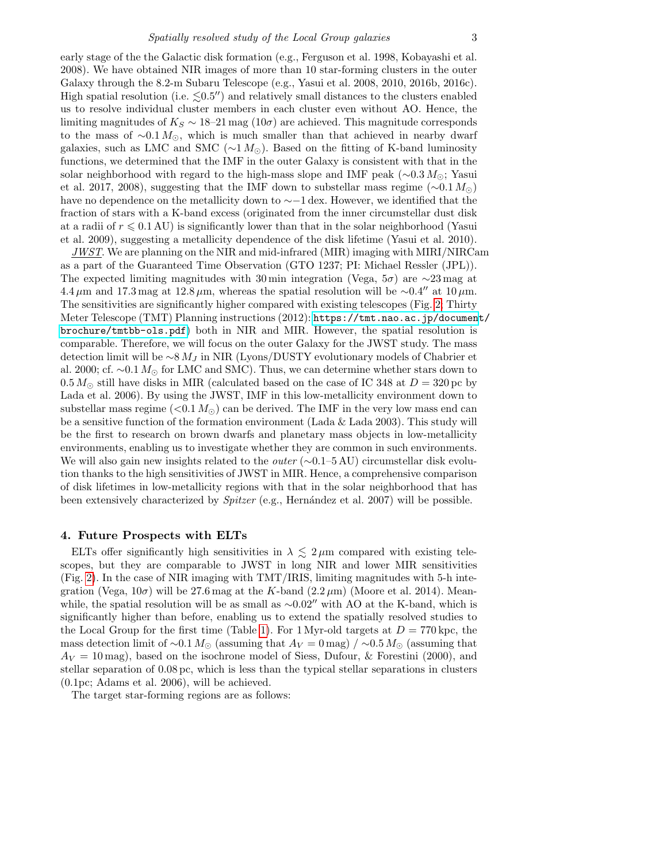early stage of the the Galactic disk formation (e.g., Ferguson et al. 1998, Kobayashi et al. 2008). We have obtained NIR images of more than 10 star-forming clusters in the outer Galaxy through the 8.2-m Subaru Telescope (e.g., Yasui et al. 2008, 2010, 2016b, 2016c). High spatial resolution (i.e.  $\leq 0.5$ ") and relatively small distances to the clusters enabled us to resolve individual cluster members in each cluster even without AO. Hence, the limiting magnitudes of  $K_S \sim 18-21$  mag  $(10\sigma)$  are achieved. This magnitude corresponds to the mass of  $\sim 0.1 M_{\odot}$ , which is much smaller than that achieved in nearby dwarf galaxies, such as LMC and SMC ( $\sim 1 M_{\odot}$ ). Based on the fitting of K-band luminosity functions, we determined that the IMF in the outer Galaxy is consistent with that in the solar neighborhood with regard to the high-mass slope and IMF peak ( $\sim 0.3 M_{\odot}$ ; Yasui et al. 2017, 2008), suggesting that the IMF down to substellar mass regime ( $\sim 0.1 M_{\odot}$ ) have no dependence on the metallicity down to ∼−1 dex. However, we identified that the fraction of stars with a K-band excess (originated from the inner circumstellar dust disk at a radii of  $r \leqslant 0.1$  AU) is significantly lower than that in the solar neighborhood (Yasui et al. 2009), suggesting a metallicity dependence of the disk lifetime (Yasui et al. 2010).

 $JWST$ . We are planning on the NIR and mid-infrared (MIR) imaging with MIRI/NIRCam as a part of the Guaranteed Time Observation (GTO 1237; PI: Michael Ressler (JPL)). The expected limiting magnitudes with 30 min integration (Vega, 5 $\sigma$ ) are ∼23 mag at 4.4  $\mu$ m and 17.3 mag at 12.8  $\mu$ m, whereas the spatial resolution will be ∼0.4″ at 10  $\mu$ m. The sensitivities are significantly higher compared with existing telescopes (Fig. [2;](#page-3-1) Thirty Meter Telescope (TMT) Planning instructions (2012): [https://tmt.nao.ac.jp/documen](https://tmt.nao.ac.jp/document/brochure/tmtbb-ols.pdf)t/ [brochure/tmtbb-ols.pdf](https://tmt.nao.ac.jp/document/brochure/tmtbb-ols.pdf)) both in NIR and MIR. However, the spatial resolution is comparable. Therefore, we will focus on the outer Galaxy for the JWST study. The mass detection limit will be  $\sim 8 M_J$  in NIR (Lyons/DUSTY evolutionary models of Chabrier et al. 2000; cf.  $\sim 0.1 M_{\odot}$  for LMC and SMC). Thus, we can determine whether stars down to  $0.5 M_{\odot}$  still have disks in MIR (calculated based on the case of IC 348 at  $D = 320$  pc by Lada et al. 2006). By using the JWST, IMF in this low-metallicity environment down to substellar mass regime ( $\langle 0.1 M_{\odot} \rangle$  can be derived. The IMF in the very low mass end can be a sensitive function of the formation environment (Lada  $\&$  Lada 2003). This study will be the first to research on brown dwarfs and planetary mass objects in low-metallicity environments, enabling us to investigate whether they are common in such environments. We will also gain new insights related to the *outer* ( $\sim$ 0.1–5 AU) circumstellar disk evolution thanks to the high sensitivities of JWST in MIR. Hence, a comprehensive comparison of disk lifetimes in low-metallicity regions with that in the solar neighborhood that has been extensively characterized by  $Spitzer$  (e.g., Hernández et al. 2007) will be possible.

# 4. Future Prospects with ELTs

ELTs offer significantly high sensitivities in  $\lambda \lesssim 2 \,\mu$ m compared with existing telescopes, but they are comparable to JWST in long NIR and lower MIR sensitivities (Fig. [2\)](#page-3-1). In the case of NIR imaging with TMT/IRIS, limiting magnitudes with 5-h integration (Vega,  $10\sigma$ ) will be 27.6 mag at the K-band  $(2.2 \,\mu\text{m})$  (Moore et al. 2014). Meanwhile, the spatial resolution will be as small as  $\sim 0.02''$  with AO at the K-band, which is significantly higher than before, enabling us to extend the spatially resolved studies to the Local Group for the first time (Table [1\)](#page-1-0). For 1 Myr-old targets at  $D = 770$  kpc, the mass detection limit of ~0.1  $M_{\odot}$  (assuming that  $A_V = 0$  mag) / ~0.5  $M_{\odot}$  (assuming that  $A_V = 10$  mag), based on the isochrone model of Siess, Dufour, & Forestini (2000), and stellar separation of 0.08 pc, which is less than the typical stellar separations in clusters (0.1pc; Adams et al. 2006), will be achieved.

The target star-forming regions are as follows: